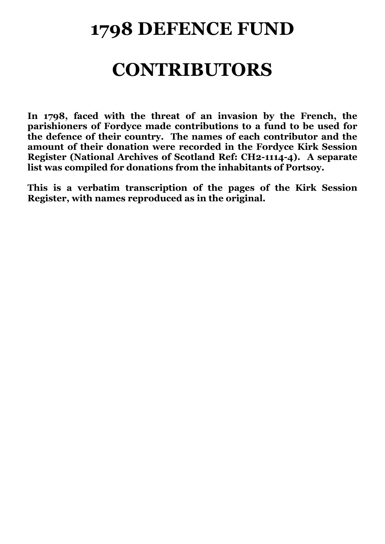## **1798 DEFENCE FUND**

## **CONTRIBUTORS**

**In 1798, faced with the threat of an invasion by the French, the parishioners of Fordyce made contributions to a fund to be used for the defence of their country. The names of each contributor and the amount of their donation were recorded in the Fordyce Kirk Session Register (National Archives of Scotland Ref: CH2-1114-4). A separate list was compiled for donations from the inhabitants of Portsoy.**

**This is a verbatim transcription of the pages of the Kirk Session Register, with names reproduced as in the original.**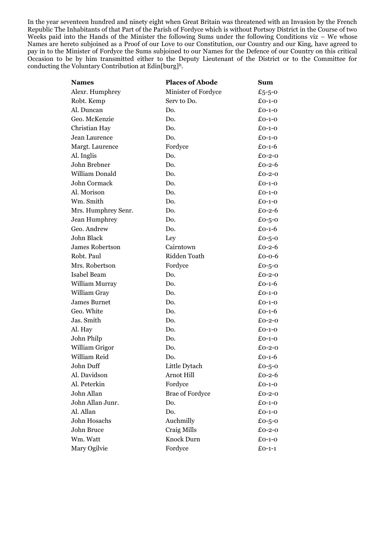In the year seventeen hundred and ninety eight when Great Britain was threatened with an Invasion by the French Republic The Inhabitants of that Part of the Parish of Fordyce which is without Portsoy District in the Course of two Weeks paid into the Hands of the Minister the following Sums under the following Conditions viz – We whose Names are hereto subjoined as a Proof of our Love to our Constitution, our Country and our King, have agreed to pay in to the Minister of Fordyce the Sums subjoined to our Names for the Defence of our Country on this critical Occasion to be by him transmitted either to the Deputy Lieutenant of the District or to the Committee for conducting the Voluntary Contribution at Edin[burg]h.

| Names                  | <b>Places of Abode</b> | Sum          |
|------------------------|------------------------|--------------|
| Alexr. Humphrey        | Minister of Fordyce    | £5-5-0       |
| Robt. Kemp             | Serv to Do.            | $£0-1-0$     |
| Al. Duncan             | Do.                    | $£0-1-0$     |
| Geo. McKenzie          | Do.                    | $£0-1-0$     |
| Christian Hay          | Do.                    | $£0-1-0$     |
| Jean Laurence          | Do.                    | $£0-1-0$     |
| Margt. Laurence        | Fordyce                | $£0-1-6$     |
| Al. Inglis             | Do.                    | $£0-2-0$     |
| John Brebner           | Do.                    | $£0-2-6$     |
| William Donald         | Do.                    | $£0-2-0$     |
| John Cormack           | Do.                    | $£O-1-O$     |
| Al. Morison            | Do.                    | $£0-1-0$     |
| Wm. Smith              | Do.                    | $£0-1-0$     |
| Mrs. Humphrey Senr.    | Do.                    | $£0 - 2 - 6$ |
| Jean Humphrey          | Do.                    | £0-5-0       |
| Geo. Andrew            | Do.                    | $£0-1-6$     |
| John Black             | Ley                    | £0-5-0       |
| <b>James Robertson</b> | Cairntown              | £0-2- $6$    |
| Robt. Paul             | Ridden Toath           | $£0-0-6$     |
| Mrs. Robertson         | Fordyce                | £0-5-0       |
| Isabel Beam            | Do.                    | $£0-2-0$     |
| William Murray         | Do.                    | $£0-1-6$     |
| William Gray           | Do.                    | $£0-1-0$     |
| James Burnet           | Do.                    | $£0-1-0$     |
| Geo. White             | Do.                    | $£0-1-6$     |
| Jas. Smith             | Do.                    | $£0-2-0$     |
| Al. Hay                | Do.                    | $£0-1-0$     |
| John Philp             | Do.                    | £0-1-0       |
| William Grigor         | Do.                    | $£0-2-0$     |
| William Reid           | Do.                    | £0-1-6       |
| John Duff              | Little Dytach          | £0-5-0       |
| Al. Davidson           | Arnot Hill             | $£0-2-6$     |
| Al. Peterkin           | Fordyce                | $£0-1-0$     |
| John Allan             | <b>Brae of Fordyce</b> | $£0-2-0$     |
| John Allan Junr.       | Do.                    | $£0-1-0$     |
| Al. Allan              | Do.                    | $£0-1-0$     |
| John Hosachs           | Auchmilly              | £0-5-0       |
| John Bruce             | Craig Mills            | $£0-2-0$     |
| Wm. Watt               | Knock Durn             | $£0-1-0$     |
| Mary Ogilvie           | Fordyce                | $£0-1-1$     |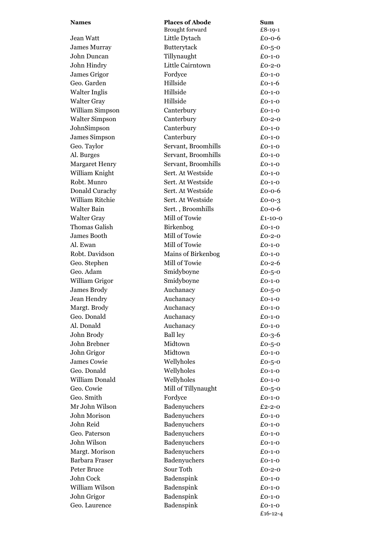| <b>Names</b>          | <b>Places of Abode</b> | Sum           |
|-----------------------|------------------------|---------------|
|                       | Brought forward        | £8-19-1       |
| Jean Watt             | Little Dytach          | $£0-0-6$      |
| <b>James Murray</b>   | Butterytack            | £0-5-0        |
| John Duncan           | Tillynaught            | $£O-1-O$      |
| John Hindry           | Little Cairntown       | $£0-2-0$      |
| James Grigor          | Fordyce                | $£0-1-0$      |
| Geo. Garden           | Hillside               | $£0-1-6$      |
| <b>Walter Inglis</b>  | Hillside               | $£O-1-O$      |
| <b>Walter Gray</b>    | Hillside               | $£0-1-0$      |
| William Simpson       | Canterbury             | $£O-1-O$      |
| Walter Simpson        | Canterbury             | $£0-2-0$      |
| JohnSimpson           | Canterbury             | $£0-1-0$      |
| James Simpson         | Canterbury             | $£0-1-0$      |
| Geo. Taylor           | Servant, Broomhills    | $£O-1-O$      |
| Al. Burges            | Servant, Broomhills    | $£O-1-O$      |
| <b>Margaret Henry</b> | Servant, Broomhills    | $£0-1-0$      |
| William Knight        | Sert. At Westside      | $£0-1-0$      |
| Robt. Munro           | Sert. At Westside      | $£O-1-O$      |
| Donald Curachy        | Sert. At Westside      | $£0-0-6$      |
| William Ritchie       | Sert. At Westside      | $£0-0-3$      |
| <b>Walter Bain</b>    | Sert., Broomhills      | $£0-0-6$      |
| <b>Walter Gray</b>    | Mill of Towie          | $£1 - 10 - 0$ |
| Thomas Galish         | Birkenbog              | $£O-1-O$      |
| James Booth           | Mill of Towie          | $£0-2-0$      |
| Al. Ewan              | Mill of Towie          | $£0-1-0$      |
| Robt. Davidson        | Mains of Birkenbog     | $£O-1-O$      |
| Geo. Stephen          | Mill of Towie          | $£0-2-6$      |
| Geo. Adam             | Smidyboyne             | £0-5-0        |
| William Grigor        | Smidyboyne             | $£0-1-0$      |
| James Brody           | Auchanacy              | £0-5-0        |
| Jean Hendry           | Auchanacy              | $£0-1-0$      |
| Margt. Brody          | Auchanacy              | $£0-1-0$      |
| Geo. Donald           | Auchanacy              | $£0-1-0$      |
| Al. Donald            | Auchanacy              | $£0-1-0$      |
| John Brody            | <b>Ball ley</b>        | £0-3-6        |
| John Brebner          | Midtown                | £0-5-0        |
| John Grigor           | Midtown                | $£0-1-0$      |
| James Cowie           | Wellyholes             | £0-5-0        |
| Geo. Donald           | Wellyholes             | $£0-1-0$      |
| William Donald        | Wellyholes             | $£0-1-0$      |
| Geo. Cowie            | Mill of Tillynaught    | £0-5-0        |
| Geo. Smith            | Fordyce                | $£0-1-0$      |
| Mr John Wilson        | Badenyuchers           | $£2 - 2 - 0$  |
| John Morison          | Badenyuchers           | $£0-1-0$      |
| John Reid             | Badenyuchers           | $£0-1-0$      |
| Geo. Paterson         | Badenyuchers           | $£0-1-0$      |
| John Wilson           | Badenyuchers           | $£0-1-0$      |
| Margt. Morison        | Badenyuchers           | $£0-1-0$      |
| Barbara Fraser        | Badenyuchers           | $£0-1-0$      |
| Peter Bruce           | Sour Toth              | $£0-2-0$      |
| John Cock             | Badenspink             | $£0-1-0$      |
| William Wilson        | Badenspink             | $£0-1-0$      |
| John Grigor           | Badenspink             | $£0-1-0$      |
| Geo. Laurence         | Badenspink             | $£0-1-0$      |
|                       |                        | £16-12-4      |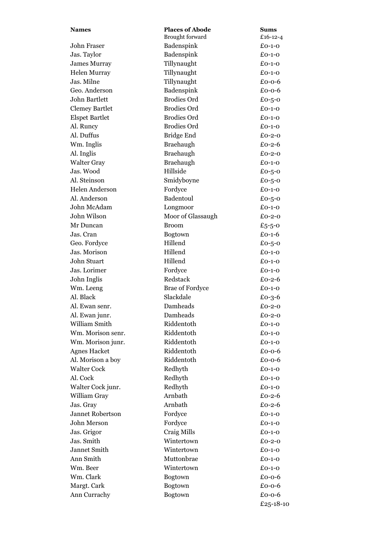| <b>Names</b>          | <b>Places of Abode</b> | <b>Sums</b> |
|-----------------------|------------------------|-------------|
|                       | Brought forward        | £16-12-4    |
| John Fraser           | Badenspink             | $£0-1-0$    |
| Jas. Taylor           | Badenspink             | $£O-1-O$    |
| <b>James Murray</b>   | Tillynaught            | $£O-1-O$    |
| Helen Murray          | Tillynaught            | $£0-1-0$    |
| Jas. Milne            | Tillynaught            | $£0-0-6$    |
| Geo. Anderson         | Badenspink             | $£0-0-6$    |
| John Bartlett         | <b>Brodies Ord</b>     | £0-5-0      |
| <b>Clemey Bartlet</b> | <b>Brodies Ord</b>     | $£0-1-0$    |
| <b>Elspet Bartlet</b> | <b>Brodies Ord</b>     | $£0-1-0$    |
| Al. Runcy             | <b>Brodies Ord</b>     | $£O-1-O$    |
| Al. Duffus            | Bridge End             | $£0-2-0$    |
| Wm. Inglis            | Braehaugh              | $£0-2-6$    |
| Al. Inglis            | Braehaugh              | $£0-2-0$    |
| Walter Gray           | Braehaugh              | $£0-1-0$    |
| Jas. Wood             | Hillside               | £0-5-0      |
| Al. Steinson          | Smidyboyne             | £0-5-0      |
| <b>Helen Anderson</b> | Fordyce                | $£0-1-0$    |
| Al. Anderson          | Badentoul              | £0-5-0      |
| John McAdam           | Longmoor               | $£0-1-0$    |
| John Wilson           | Moor of Glassaugh      | $£0-2-0$    |
| Mr Duncan             | <b>Broom</b>           | £5-5-0      |
| Jas. Cran             | Bogtown                | $£0-1-6$    |
| Geo. Fordyce          | Hillend                | £0-5-0      |
| Jas. Morison          | Hillend                | $£0-1-0$    |
| John Stuart           | Hillend                | $£O-1-O$    |
| Jas. Lorimer          | Fordyce                | $£0-1-0$    |
| John Inglis           | Redstack               | $£0-2-6$    |
| Wm. Leeng             | <b>Brae of Fordyce</b> | $£O-1-O$    |
| Al. Black             | Slackdale              | $£0-3-6$    |
| Al. Ewan senr.        | Damheads               | £0-2-0      |
| Al. Ewan junr.        | Damheads               | £0-2-0      |
| William Smith         | Riddentoth             | $£0-1-0$    |
| Wm. Morison senr.     | Riddentoth             | $£0-1-0$    |
| Wm. Morison junr.     | Riddentoth             | $£0-1-0$    |
| <b>Agnes Hacket</b>   | Riddentoth             | $£0-0-6$    |
| Al. Morison a boy     | Riddentoth             | $£0-0-6$    |
| <b>Walter Cock</b>    | Redhyth                | $£0-1-0$    |
| Al. Cock              | Redhyth                | $£0-1-0$    |
| Walter Cock junr.     | Redhyth                | $£0-1-0$    |
| William Gray          | Arnbath                | £0-2- $6$   |
| Jas. Gray             | Arnbath                | $£0-2-6$    |
| Jannet Robertson      | Fordyce                | $£0-1-0$    |
| John Merson           | Fordyce                | $£0-1-0$    |
| Jas. Grigor           | Craig Mills            | $£0-1-0$    |
| Jas. Smith            | Wintertown             | $£0-2-0$    |
| Jannet Smith          | Wintertown             | $£0-1-0$    |
| Ann Smith             | Muttonbrae             | $£0-1-0$    |
| Wm. Beer              | Wintertown             | $£0-1-0$    |
| Wm. Clark             | <b>Bogtown</b>         | $£0-0-6$    |
| Margt. Cark           | <b>Bogtown</b>         | $£0-0-6$    |
| Ann Currachy          | Bogtown                | $£0-0-6$    |
|                       |                        | £25-18-10   |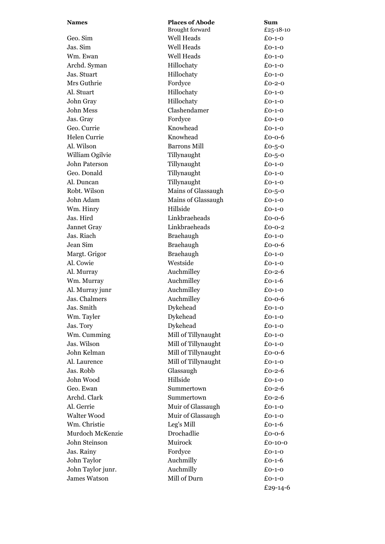| <b>Names</b>        | <b>Places of Abode</b> | Sum                 |
|---------------------|------------------------|---------------------|
|                     | Brought forward        | £25-18-10           |
| Geo. Sim            | Well Heads             | $£0-1-0$            |
| Jas. Sim            | <b>Well Heads</b>      | $£O-1-O$            |
| Wm. Ewan            | Well Heads             | $£O-1-O$            |
| Archd. Syman        | Hillochaty             | $£0-1-0$            |
| Jas. Stuart         | Hillochaty             | $£0-1-0$            |
| Mrs Guthrie         | Fordyce                | £0-2-0              |
| Al. Stuart          | Hillochaty             | $£O-1-O$            |
| John Gray           | Hillochaty             | $£0-1-0$            |
| John Mess           | Clashendamer           | $£O-1-O$            |
| Jas. Gray           | Fordyce                | $£O-1-O$            |
| Geo. Currie         | Knowhead               | $£0-1-0$            |
| Helen Currie        | Knowhead               | $£0-0-6$            |
| Al. Wilson          | <b>Barrons Mill</b>    | £0-5-0              |
| William Ogilvie     | Tillynaught            | £0-5-0              |
| John Paterson       | Tillynaught            | $£0-1-0$            |
| Geo. Donald         | Tillynaught            | $£O-1-O$            |
| Al. Duncan          | Tillynaught            | $£0-1-0$            |
| Robt. Wilson        | Mains of Glassaugh     | £0-5-0              |
| John Adam           | Mains of Glassaugh     | $£0-1-0$            |
| Wm. Hinry           | Hillside               | $£O-1-O$            |
| Jas. Hird           | Linkbraeheads          | £0-0-6              |
| Jannet Gray         | Linkbraeheads          | $£0-0-2$            |
| Jas. Riach          | Braehaugh              | $£O-1-O$            |
| Jean Sim            | Braehaugh              | £0-0-6              |
| Margt. Grigor       | Braehaugh              | $£O-1-O$            |
| Al. Cowie           | Westside               | $£0-1-0$            |
| Al. Murray          | Auchmilley             | £0-2- $6$           |
| Wm. Murray          | Auchmilley             | £0-1-6              |
| Al. Murray junr     | Auchmilley             | $£O-1-O$            |
| Jas. Chalmers       | Auchmilley             | £0-0-6              |
| Jas. Smith          | Dykehead               | $£0-1-0$            |
| Wm. Tayler          | Dykehead               | $£0-1-0$            |
| Jas. Tory           | Dykehead               | $£0-1-0$            |
| Wm. Cumming         | Mill of Tillynaught    | $£0-1-0$            |
| Jas. Wilson         | Mill of Tillynaught    | $£0-1-0$            |
| John Kelman         | Mill of Tillynaught    | £0-0-6              |
| Al. Laurence        | Mill of Tillynaught    | $£0-1-0$            |
| Jas. Robb           | Glassaugh              | £0-2-6              |
| John Wood           | Hillside               | $£0-1-0$            |
| Geo. Ewan           | Summertown             | $£0-2-6$            |
| Archd. Clark        | Summertown             | $£0-2-6$            |
| Al. Gerrie          | Muir of Glassaugh      | $£0-1-0$            |
| Walter Wood         | Muir of Glassaugh      | $£0-1-0$            |
| Wm. Christie        | Leg's Mill             | $£0-1-6$            |
| Murdoch McKenzie    | Drochadlie             | $£0-0-6$            |
| John Steinson       | Muirock                |                     |
|                     |                        | £0-10-0<br>$£0-1-0$ |
| Jas. Rainy          | Fordyce                |                     |
| John Taylor         | Auchmilly              | £0-1-6              |
| John Taylor junr.   | Auchmilly              | $£0-1-0$            |
| <b>James Watson</b> | Mill of Durn           | $£0-1-0$            |
|                     |                        | £29-14-6            |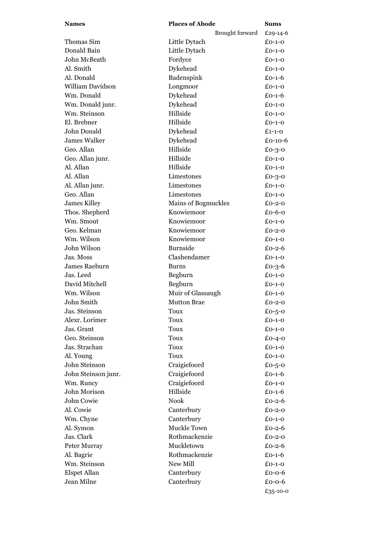| <b>Names</b>            | <b>Places of Abode</b>     | <b>Sums</b> |
|-------------------------|----------------------------|-------------|
|                         | Brought forward            | £29-14-6    |
| Thomas Sim              | Little Dytach              | $£O-1-O$    |
| Donald Bain             | Little Dytach              | $£0-1-0$    |
| John McBeath            | Fordyce                    | $£0-1-0$    |
| Al. Smith               | Dykehead                   | $£0-1-0$    |
| Al. Donald              | Badenspink                 | $£O-1-6$    |
| <b>William Davidson</b> | Longmoor                   | $£0-1-0$    |
| Wm. Donald              | Dykehead                   | $£O-1-6$    |
| Wm. Donald junr.        | Dykehead                   | $£0-1-0$    |
| Wm. Steinson            | Hillside                   | $£O-1-O$    |
| El. Brebner             | Hillside                   | $£O-1-O$    |
| John Donald             | Dykehead                   | $£1-1-0$    |
| <b>James Walker</b>     | Dykehead                   | £0-10-6     |
| Geo. Allan              | Hillside                   | £0-3-0      |
| Geo. Allan junr.        | Hillside                   | $£0-1-0$    |
| Al. Allan               | Hillside                   | $£0-1-0$    |
| Al. Allan               | Limestones                 | £0-3-0      |
| Al. Allan junr.         | Limestones                 | $£0-1-0$    |
| Geo. Allan              | Limestones                 | $£0-1-0$    |
| James Killey            | <b>Mains of Bogmuckles</b> | $£0-2-0$    |
| Thos. Shepherd          | Knowiemoor                 | £ $0-6-0$   |
| Wm. Smout               | Knowiemoor                 | $£O-1-O$    |
| Geo. Kelman             | Knowiemoor                 | $£0-2-0$    |
| Wm. Wilson              | Knowiemoor                 | $£O-1-O$    |
| John Wilson             | <b>Burnside</b>            | $£0-2-6$    |
| Jas. Moss               | Clashendamer               | $£O-1-O$    |
| James Raeburn           | <b>Burns</b>               | $£0-3-6$    |
| Jas. Leed               | Begburn                    | $£0-1-0$    |
| David Mitchell          | Begburn                    | $£0-1-0$    |
| Wm. Wilson              | Muir of Glassaugh          | $£0-1-0$    |
| John Smith              | <b>Mutton Brae</b>         | $£0-2-0$    |
| Jas. Steinson           | Toux                       | £0-5-0      |
| Alexr. Lorimer          | <b>Toux</b>                | $£0-1-0$    |
| Jas. Grant              | <b>Toux</b>                | $£0-1-0$    |
| Geo. Steinson           | Toux                       | $£0-4-0$    |
| Jas. Strachan           | Toux                       | $£0-1-0$    |
| Al. Young               | Toux                       | $£0-1-0$    |
| John Steinson           | Craigiefoord               | £0-5-0      |
| John Steinson junr.     | Craigiefoord               | $£0-1-6$    |
| Wm. Runcy               | Craigiefoord               | $£0-1-0$    |
| John Morison            | Hillside                   | $£0-1-6$    |
| John Cowie              | Nook                       | £0-2- $6$   |
| Al. Cowie               | Canterbury                 | $£0-2-0$    |
| Wm. Chyne               | Canterbury                 | $£0-1-0$    |
| Al. Symon               | Muckle Town                | £0-2- $6$   |
| Jas. Clark              | Rothmackenzie              | $£0-2-0$    |
| Peter Murray            | Muckletown                 | £0-2- $6$   |
| Al. Bagrie              | Rothmackenzie              | $£0-1-6$    |
| Wm. Steinson            | New Mill                   | $£O-1-O$    |
| Elspet Allan            | Canterbury                 | $£0-0-6$    |
| Jean Milne              | Canterbury                 | $£0-0-6$    |
|                         |                            | £35-10-0    |
|                         |                            |             |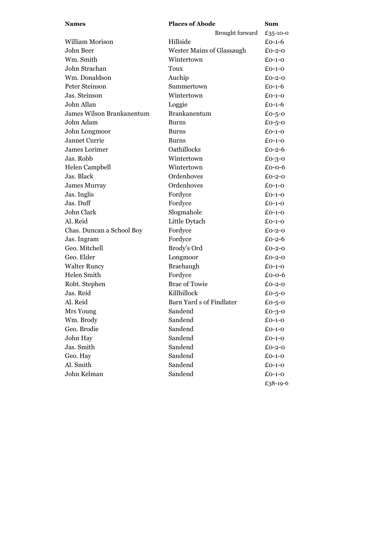| <b>Names</b>              | <b>Places of Abode</b>           | Sum      |
|---------------------------|----------------------------------|----------|
|                           | Brought forward                  | £35-10-0 |
| William Morison           | Hillside                         | £0-1-6   |
| John Beer                 | <b>Wester Mains of Glassaugh</b> | £0-2-0   |
| Wm. Smith                 | Wintertown                       | £0-1-0   |
| John Strachan             | Toux                             | $£O-1-O$ |
| Wm. Donaldson             | Auchip                           | $£0-2-0$ |
| Peter Steinson            | Summertown                       | £0-1-6   |
| Jas. Steinson             | Wintertown                       | $£O-1-O$ |
| John Allan                | Loggie                           | $£O-1-6$ |
| James Wilson Brankanentum | <b>Brankanentum</b>              | £0-5-0   |
| John Adam                 | <b>Burns</b>                     | £0-5-0   |
| John Longmoor             | <b>Burns</b>                     | $£0-1-0$ |
| Jannet Currie             | <b>Burns</b>                     | $£0-1-0$ |
| James Lorimer             | Oathillocks                      | $£0-2-6$ |
| Jas. Robb                 | Wintertown                       | $£0-3-0$ |
| Helen Campbell            | Wintertown                       | £0-0-6   |
| Jas. Black                | Ordenhoves                       | $£0-2-0$ |
| <b>James Murray</b>       | Ordenhoves                       | £0-1-0   |
| Jas. Inglis               | Fordyce                          | $£O-1-O$ |
| Jas. Duff                 | Fordyce                          | $£0-1-0$ |
| John Clark                | Slogmahole                       | $£0-1-0$ |
| Al. Reid                  | Little Dytach                    | $£O-1-O$ |
| Chas. Duncan a School Boy | Fordyce                          | $£0-2-0$ |
| Jas. Ingram               | Fordyce                          | $£0-2-6$ |
| Geo. Mitchell             | Brody's Ord                      | $£0-2-0$ |
| Geo. Elder                | Longmoor                         | $£0-2-0$ |
| <b>Walter Runcy</b>       | Braehaugh                        | $£O-1-O$ |
| Helen Smith               | Fordyce                          | $£0-0-6$ |
| Robt. Stephen             | <b>Brae of Towie</b>             | $£0-2-0$ |
| Jas. Reid                 | Killhillock                      | £0-5-0   |
| Al. Reid                  | Barn Yard s of Findlater         | £0-5-0   |
| Mrs Young                 | Sandend                          | £0-3-0   |
| Wm. Brody                 | Sandend                          | $£0-1-0$ |
| Geo. Brodie               | Sandend                          | $£0-1-0$ |
| John Hay                  | Sandend                          | $£0-1-0$ |
| Jas. Smith                | Sandend                          | $£0-2-0$ |
| Geo. Hay                  | Sandend                          | $£0-1-0$ |
| Al. Smith                 | Sandend                          | $£0-1-0$ |
| John Kelman               | Sandend                          | $£0-1-0$ |
|                           |                                  | £38-19-6 |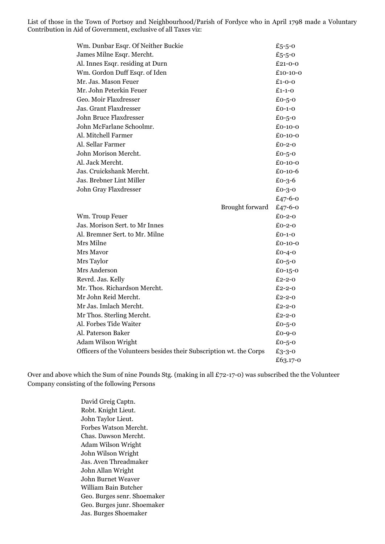List of those in the Town of Portsoy and Neighbourhood/Parish of Fordyce who in April 1798 made a Voluntary Contribution in Aid of Government, exclusive of all Taxes viz:

| Wm. Dunbar Esqr. Of Neither Buckie                                  |                 | £5-5-0        |
|---------------------------------------------------------------------|-----------------|---------------|
| James Milne Esqr. Mercht.                                           |                 | £5-5-0        |
| Al. Innes Esqr. residing at Durn                                    |                 | $£21 - 0 - 0$ |
| Wm. Gordon Duff Esqr. of Iden                                       |                 | £10-10-0      |
| Mr. Jas. Mason Feuer                                                |                 | $£1-0-0$      |
| Mr. John Peterkin Feuer                                             |                 | $£1-1-0$      |
| Geo. Moir Flaxdresser                                               |                 | £0-5-0        |
| Jas. Grant Flaxdresser                                              |                 | $£0-1-0$      |
| <b>John Bruce Flaxdresser</b>                                       |                 | £0-5-0        |
| John McFarlane Schoolmr.                                            |                 | £0-10-0       |
| Al. Mitchell Farmer                                                 |                 | $£0-10-0$     |
| Al. Sellar Farmer                                                   |                 | $£0-2-0$      |
| John Morison Mercht.                                                |                 | £0-5-0        |
| Al. Jack Mercht.                                                    |                 | $£0-10-0$     |
| Jas. Cruickshank Mercht.                                            |                 | $£0-10-6$     |
| Jas. Brebner Lint Miller                                            |                 | $£0-3-6$      |
| John Gray Flaxdresser                                               |                 | $£0-3-0$      |
|                                                                     |                 | £47-6-0       |
|                                                                     | Brought forward | £47-6-0       |
| Wm. Troup Feuer                                                     |                 | $£0-2-0$      |
| Jas. Morison Sert. to Mr Innes                                      |                 | $£0-2-0$      |
| Al. Bremner Sert. to Mr. Milne                                      |                 | $E_{O-1-O}$   |
| Mrs Milne                                                           |                 | $£0-10-0$     |
| Mrs Mavor                                                           |                 | $£0-4-0$      |
| Mrs Taylor                                                          |                 | £0-5-0        |
| Mrs Anderson                                                        |                 | $£0-15-0$     |
| Revrd. Jas. Kelly                                                   |                 | £2-2-0        |
| Mr. Thos. Richardson Mercht.                                        |                 | $£2 - 2 - 0$  |
| Mr John Reid Mercht.                                                |                 | £2-2-0        |
| Mr Jas. Imlach Mercht.                                              |                 | £2-2-0        |
| Mr Thos. Sterling Mercht.                                           |                 | $£2-2-0$      |
| Al. Forbes Tide Waiter                                              |                 | £0-5-0        |
| Al. Paterson Baker                                                  |                 | £0-9-0        |
| <b>Adam Wilson Wright</b>                                           |                 | £0-5-0        |
| Officers of the Volunteers besides their Subscription wt. the Corps |                 | £3-3-0        |
|                                                                     |                 | £63.17-0      |

Over and above which the Sum of nine Pounds Stg. (making in all £72-17-0) was subscribed the the Volunteer Company consisting of the following Persons

> David Greig Captn. Robt. Knight Lieut. John Taylor Lieut. Forbes Watson Mercht. Chas. Dawson Mercht. Adam Wilson Wright John Wilson Wright Jas. Aven Threadmaker John Allan Wright John Burnet Weaver William Bain Butcher Geo. Burges senr. Shoemaker Geo. Burges junr. Shoemaker Jas. Burges Shoemaker